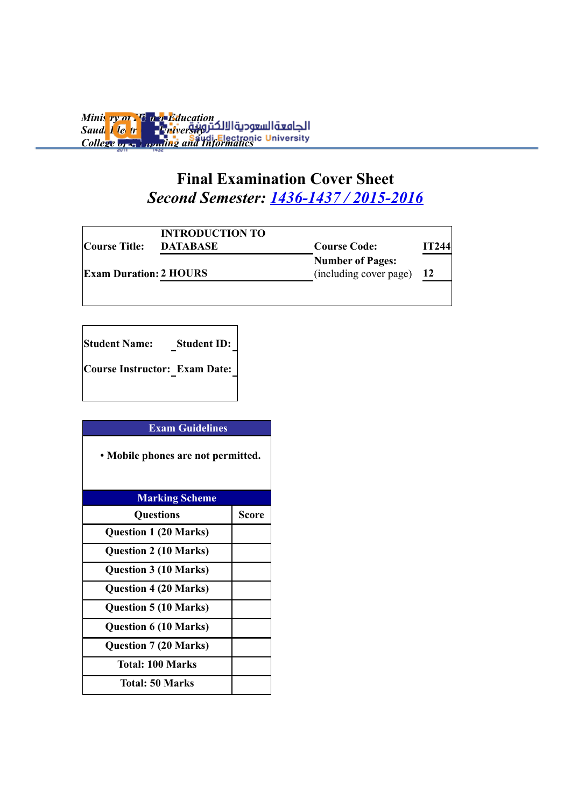*Ministry of Higher Education* **Saudi Llectronic Liniversity** *College of Gommuting and Informatics* 

### **Final Examination Cover Sheet** *Second Semester: 1436-1437 / 2015-2016*

| <b>Course Title:</b>          | <b>INTRODUCTION TO</b><br><b>DATABASE</b><br><b>Course Code:</b> |                                                   |           |  |
|-------------------------------|------------------------------------------------------------------|---------------------------------------------------|-----------|--|
| <b>Exam Duration: 2 HOURS</b> |                                                                  | <b>Number of Pages:</b><br>(including cover page) | <b>12</b> |  |
|                               |                                                                  |                                                   |           |  |

**Student Name: Student ID: Course Instructor: Exam Date:**

| <b>Exam Guidelines</b>             |              |  |  |
|------------------------------------|--------------|--|--|
| • Mobile phones are not permitted. |              |  |  |
| <b>Marking Scheme</b>              |              |  |  |
| <b>Questions</b>                   | <b>Score</b> |  |  |
| <b>Question 1 (20 Marks)</b>       |              |  |  |
| <b>Question 2 (10 Marks)</b>       |              |  |  |
| <b>Question 3 (10 Marks)</b>       |              |  |  |
| <b>Question 4 (20 Marks)</b>       |              |  |  |
| <b>Question 5 (10 Marks)</b>       |              |  |  |
| <b>Question 6 (10 Marks)</b>       |              |  |  |
| <b>Question 7 (20 Marks)</b>       |              |  |  |
| <b>Total: 100 Marks</b>            |              |  |  |
| <b>Total: 50 Marks</b>             |              |  |  |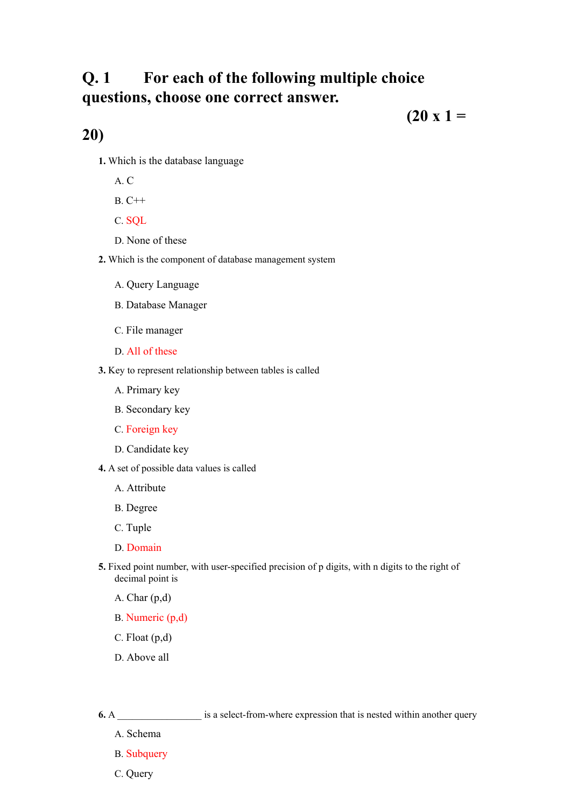### **Q. 1 For each of the following multiple choice questions, choose one correct answer.**

 $(20 x 1 =$ 

#### **20)**

- **1.** Which is the database language
	- A. C
	- B. C++
	- C. SQL
	- D. None of these
- **2.** Which is the component of database management system
	- A. Query Language
	- B. Database Manager
	- C. File manager
	- D. All of these
- **3.** Key to represent relationship between tables is called
	- A. Primary key
	- B. Secondary key
	- C. Foreign key
	- D. Candidate key
- **4.** A set of possible data values is called
	- A. Attribute
	- B. Degree
	- C. Tuple
	- D. Domain
- **5.** Fixed point number, with user-specified precision of p digits, with n digits to the right of decimal point is
	- A. Char (p,d)
	- B. Numeric (p,d)
	- C. Float (p,d)
	- D. Above all
- **6.** A \_\_\_\_\_\_\_\_\_\_\_\_\_\_\_\_\_\_\_\_\_\_\_\_ is a select-from-where expression that is nested within another query
	- A. Schema
	- B. Subquery
	- C. Query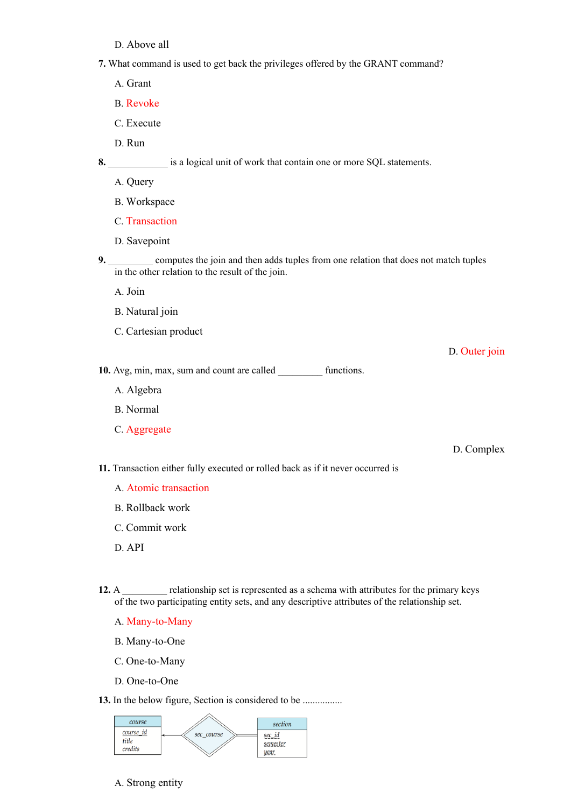- D. Above all
- **7.** What command is used to get back the privileges offered by the GRANT command?
	- A. Grant
	- B. Revoke
	- C. Execute
	- D. Run

**8.** \_\_\_\_\_\_\_\_\_\_\_\_ is a logical unit of work that contain one or more SQL statements.

- A. Query
- B. Workspace
- C. Transaction
- D. Savepoint
- **9.** \_\_\_\_\_\_\_\_\_ computes the join and then adds tuples from one relation that does not match tuples in the other relation to the result of the join.
	- A. Join
	- B. Natural join
	- C. Cartesian product

D. Outer join

- 10. Avg, min, max, sum and count are called functions.
	- A. Algebra
	- B. Normal
	- C. Aggregate

D. Complex

- **11.** Transaction either fully executed or rolled back as if it never occurred is
	- A. Atomic transaction
	- B. Rollback work
	- C. Commit work
	- D. API
- **12.** A \_\_\_\_\_\_\_\_ relationship set is represented as a schema with attributes for the primary keys of the two participating entity sets, and any descriptive attributes of the relationship set.
	- A. Many-to-Many
	- B. Many-to-One
	- C. One-to-Many
	- D. One-to-One

**13.** In the below figure, Section is considered to be ................



A. Strong entity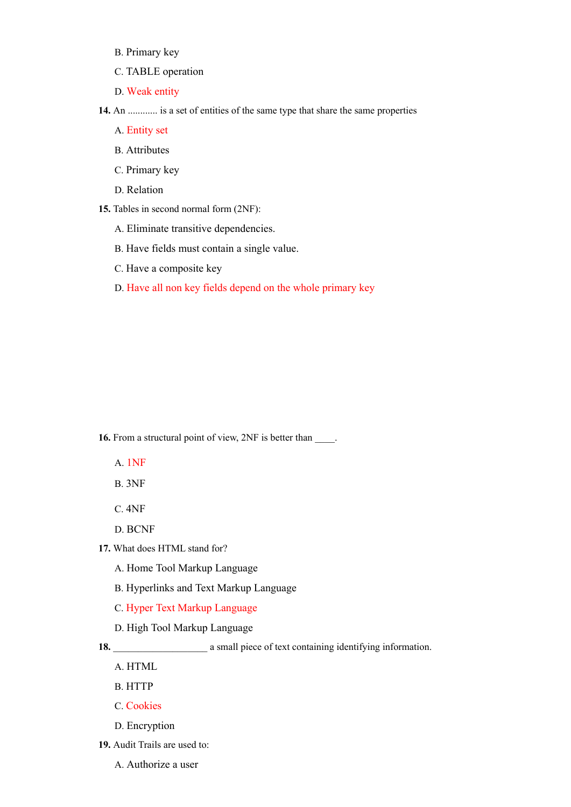- B. Primary key
- C. TABLE operation
- D. Weak entity

**14.** An ............ is a set of entities of the same type that share the same properties

- A. Entity set
- B. Attributes
- C. Primary key
- D. Relation
- **15.** Tables in second normal form (2NF):
	- A. Eliminate transitive dependencies.
	- B. Have fields must contain a single value.
	- C. Have a composite key
	- D. Have all non key fields depend on the whole primary key

**16.** From a structural point of view, 2NF is better than \_\_\_\_\_.

- A. 1NF
- B. 3NF
- C. 4NF
- D. BCNF
- **17.** What does HTML stand for?
	- A. Home Tool Markup Language
	- B. Hyperlinks and Text Markup Language
	- C. Hyper Text Markup Language
	- D. High Tool Markup Language

18. **\_\_\_\_\_\_\_\_\_\_\_\_\_\_\_** a small piece of text containing identifying information.

- A. HTML
- B. HTTP
- C. Cookies
- D. Encryption
- **19.** Audit Trails are used to:
	- A. Authorize a user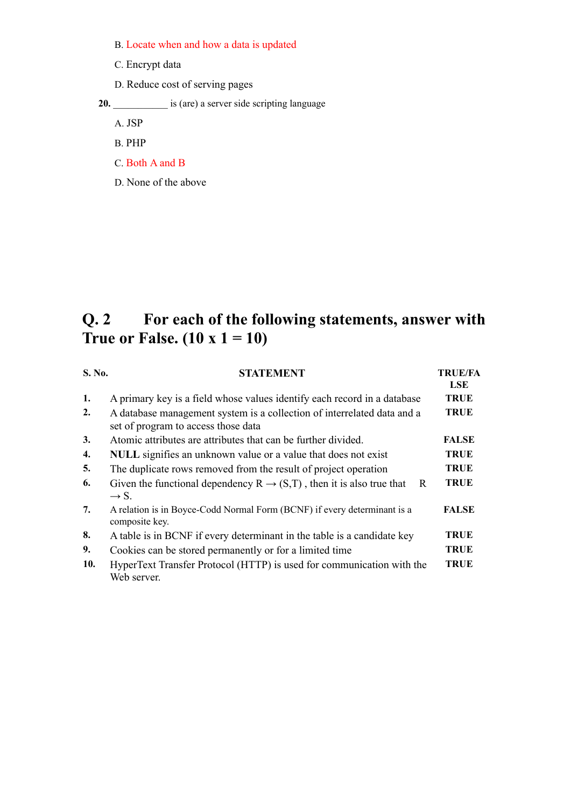- B. Locate when and how a data is updated
- C. Encrypt data
- D. Reduce cost of serving pages

20.  $\frac{1}{20}$  is (are) a server side scripting language

A. JSP

- B. PHP
- C. Both A and B
- D. None of the above

# **Q. 2 For each of the following statements, answer with True or False. (10 x 1 = 10)**

| S. No. | <b>STATEMENT</b>                                                                                               | <b>TRUE/FA</b><br><b>LSE</b> |
|--------|----------------------------------------------------------------------------------------------------------------|------------------------------|
| 1.     | A primary key is a field whose values identify each record in a database                                       | <b>TRUE</b>                  |
| 2.     | A database management system is a collection of interrelated data and a<br>set of program to access those data | <b>TRUE</b>                  |
| 3.     | Atomic attributes are attributes that can be further divided.                                                  | <b>FALSE</b>                 |
| 4.     | NULL signifies an unknown value or a value that does not exist                                                 | <b>TRUE</b>                  |
| 5.     | The duplicate rows removed from the result of project operation                                                | <b>TRUE</b>                  |
| 6.     | Given the functional dependency $R \rightarrow (S,T)$ , then it is also true that<br>R<br>$\rightarrow$ S.     | <b>TRUE</b>                  |
| 7.     | A relation is in Boyce-Codd Normal Form (BCNF) if every determinant is a<br>composite key.                     | <b>FALSE</b>                 |
| 8.     | A table is in BCNF if every determinant in the table is a candidate key                                        | <b>TRUE</b>                  |
| 9.     | Cookies can be stored permanently or for a limited time                                                        | <b>TRUE</b>                  |
| 10.    | HyperText Transfer Protocol (HTTP) is used for communication with the<br>Web server.                           | <b>TRUE</b>                  |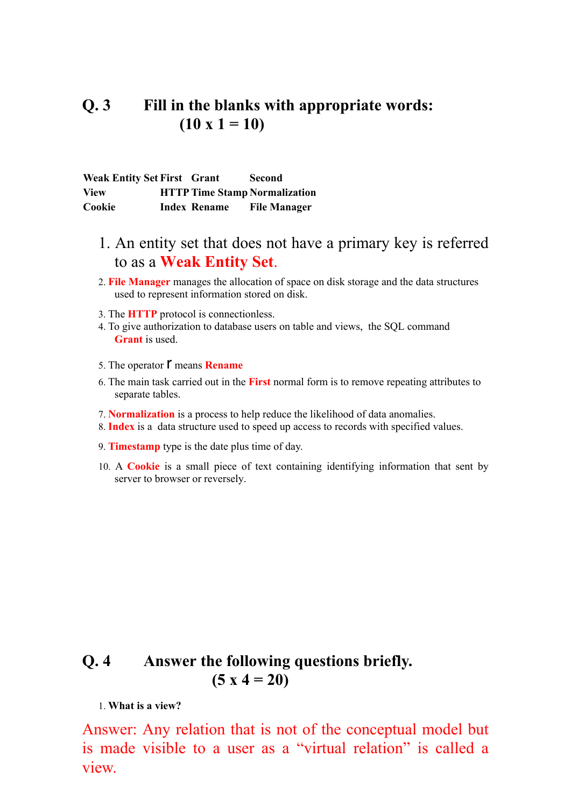#### **Q. 3 Fill in the blanks with appropriate words:**  $(10 \times 1 = 10)$

**Weak Entity Set First Grant Second View HTTPTime Stamp Normalization Cookie Index Rename File Manager**

- 1. An entity set that does not have a primary key is referred to as a **Weak Entity Set**.
- 2. **File Manager** manages the allocation of space on disk storage and the data structures used to represent information stored on disk.
- 3. The **HTTP** protocol is connectionless.
- 4. To give authorization to database users on table and views, the SQL command **Grant** is used.
- 5. The operator **r** means **Rename**
- 6. The main task carried out in the **First** normal form is to remove repeating attributes to separate tables.
- 7. **Normalization** is a process to help reduce the likelihood of data anomalies.
- 8. **Index** is a data structure used to speed up access to records with specified values.
- 9. **Timestamp** type is the date plus time of day.
- 10. A **Cookie** is a small piece of text containing identifying information that sent by server to browser or reversely.

#### **Q. 4 Answer the following questions briefly. (5 x 4 = 20)**

1. **What is a view?**

Answer: Any relation that is not of the conceptual model but is made visible to a user as a "virtual relation" is called a view.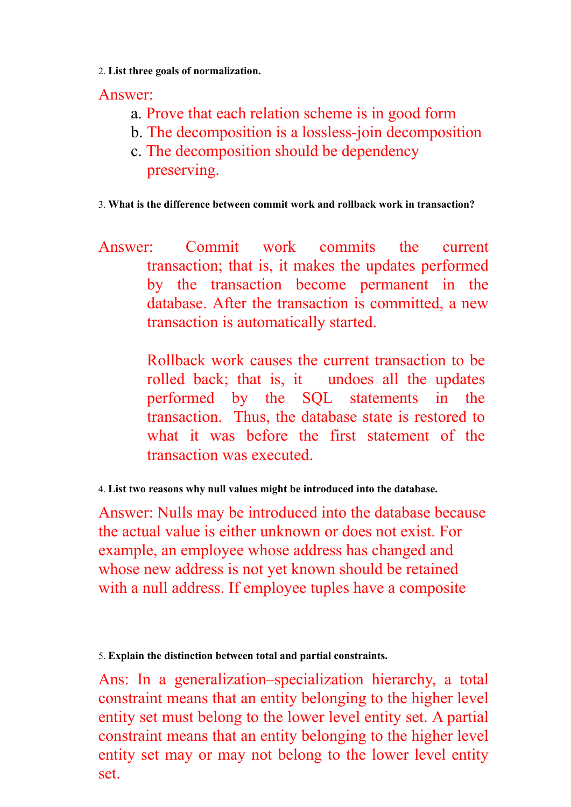2. **List three goals of normalization.**

Answer:

- a. Prove that each relation scheme is in good form
- b. The decomposition is a lossless-join decomposition
- c. The decomposition should be dependency preserving.

3. **What is the difference between commit work and rollback work in transaction?** 

Answer: Commit work commits the current transaction; that is, it makes the updates performed by the transaction become permanent in the database. After the transaction is committed, a new transaction is automatically started.

> Rollback work causes the current transaction to be rolled back; that is, it undoes all the updates performed by the SQL statements in the transaction. Thus, the database state is restored to what it was before the first statement of the transaction was executed.

4. **List two reasons why null values might be introduced into the database.**

Answer: Nulls may be introduced into the database because the actual value is either unknown or does not exist. For example, an employee whose address has changed and whose new address is not yet known should be retained with a null address. If employee tuples have a composite

5. **Explain the distinction between total and partial constraints.**

Ans: In a generalization–specialization hierarchy, a total constraint means that an entity belonging to the higher level entity set must belong to the lower level entity set. A partial constraint means that an entity belonging to the higher level entity set may or may not belong to the lower level entity set.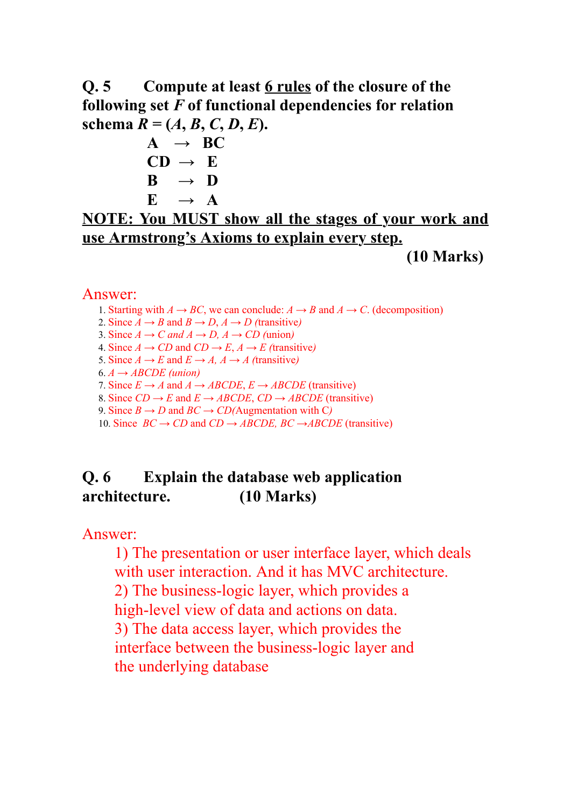**Q. 5 Compute at least 6 rules of the closure of the following set** *F* **of functional dependencies for relation schema**  $R = (A, B, C, D, E)$ .

 $A \rightarrow BC$  $CD \rightarrow E$  $B \rightarrow D$  $E \rightarrow A$ 

#### **NOTE: You MUST show all the stages of your work and use Armstrong's Axioms to explain every step.**

**(10 Marks)**

#### Answer:

- 1. Starting with  $A \rightarrow BC$ , we can conclude:  $A \rightarrow B$  and  $A \rightarrow C$ . (decomposition)
- 2. Since  $A \rightarrow B$  and  $B \rightarrow D$ ,  $A \rightarrow D$  (transitive)
- 3. Since  $A \rightarrow C$  and  $A \rightarrow D$ ,  $A \rightarrow CD$  (union)
- 4. Since  $A \rightarrow CD$  and  $CD \rightarrow E$ ,  $A \rightarrow E$  (transitive)
- 5. Since  $A \rightarrow E$  and  $E \rightarrow A$ ,  $A \rightarrow A$  (transitive)
- $6. A \rightarrow ABCDE$  (union)
- 7. Since  $E \rightarrow A$  and  $A \rightarrow ABCDE$ ,  $E \rightarrow ABCDE$  (transitive)
- 8. Since  $CD \rightarrow E$  and  $E \rightarrow ABCDE$ ,  $CD \rightarrow ABCDE$  (transitive)
- 9. Since  $B \to D$  and  $BC \to CD$ (Augmentation with C)

10. Since  $BC \rightarrow CD$  and  $CD \rightarrow ABCDE$ ,  $BC \rightarrow ABCDE$  (transitive)

## **Q. 6 Explain the database web application architecture. (10 Marks)**

Answer:

1) The presentation or user interface layer, which deals with user interaction. And it has MVC architecture. 2) The business-logic layer, which provides a high-level view of data and actions on data. 3) The data access layer, which provides the interface between the business-logic layer and the underlying database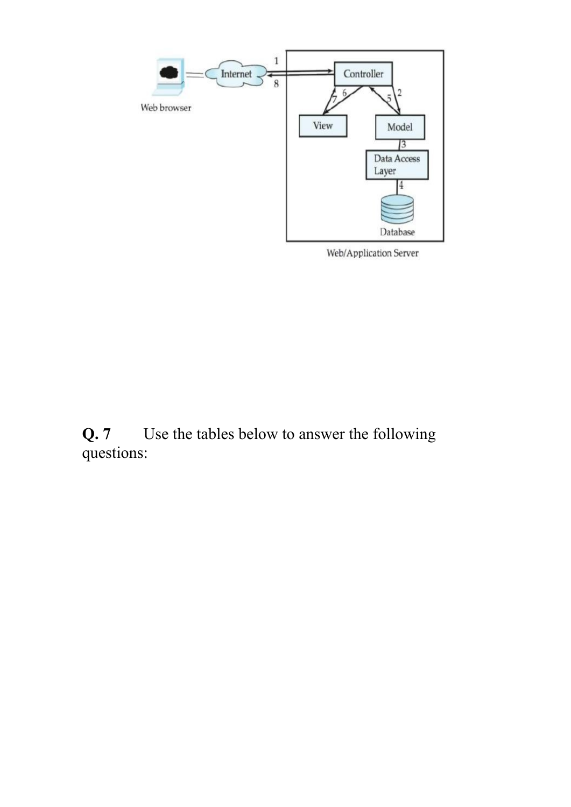

Web/Application Server

**Q. 7** Use the tables below to answer the following questions: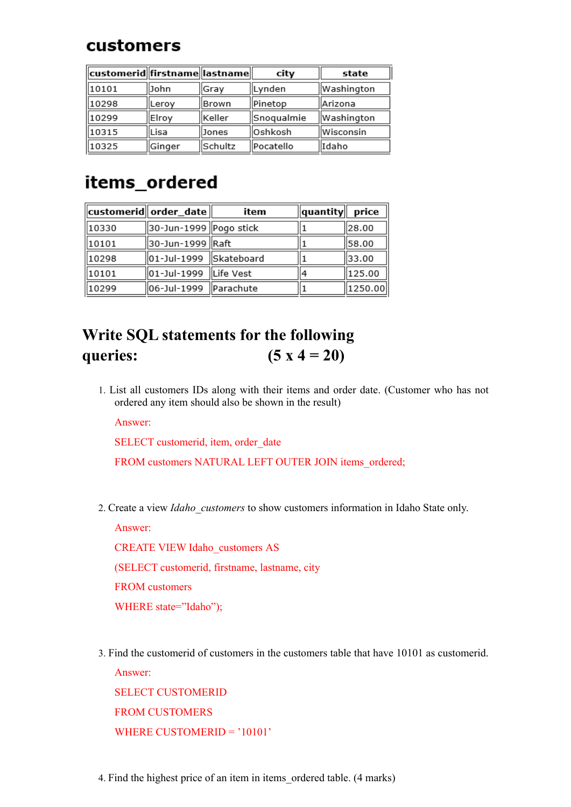## customers

| customerid  firstname  lastname |        |         | city       | state      |
|---------------------------------|--------|---------|------------|------------|
| 10101                           | John   | Gray    | Lynden     | Washington |
| 10298                           | Leroy  | Brown   | Pinetop    | Arizona    |
| 10299                           | Elroy  | Keller  | Snoqualmie | Washington |
| 10315                           | lLisa  | Jones   | Oshkosh    | Wisconsin  |
| 10325                           | Ginger | Schultz | Pocatello  | Idaho      |

# items\_ordered

|       | $\ $ customerid $\ $ order_date $\ $ | item             | quantity | price   |
|-------|--------------------------------------|------------------|----------|---------|
| 10330 | 30-Jun-1999 Pogo stick               |                  |          | 28.00   |
| 10101 | 30-Jun-1999   Raft                   |                  |          | 58.00   |
| 10298 | 01-Jul-1999 Skateboard               |                  |          | 33.00   |
| 10101 | 01-Jul-1999                          | Life Vest        | 4        | 125.00  |
| 10299 | 06-Jul-1999                          | <b>Parachute</b> |          | 1250.00 |

# **Write SQL statements for the following queries: (5 x 4 = 20)**

1. List all customers IDs along with their items and order date. (Customer who has not ordered any item should also be shown in the result)

Answer:

SELECT customerid, item, order date

FROM customers NATURAL LEFT OUTER JOIN items ordered;

2. Create a view *Idaho\_customers* to show customers information in Idaho State only.

Answer:

CREATE VIEW Idaho\_customers AS

(SELECT customerid, firstname, lastname, city

FROM customers

WHERE state="Idaho");

3. Find the customerid of customers in the customers table that have 10101 as customerid. Answer:

SELECT CUSTOMERID FROM CUSTOMERS WHERE CUSTOMERID = '10101'

4. Find the highest price of an item in items\_ordered table. (4 marks)